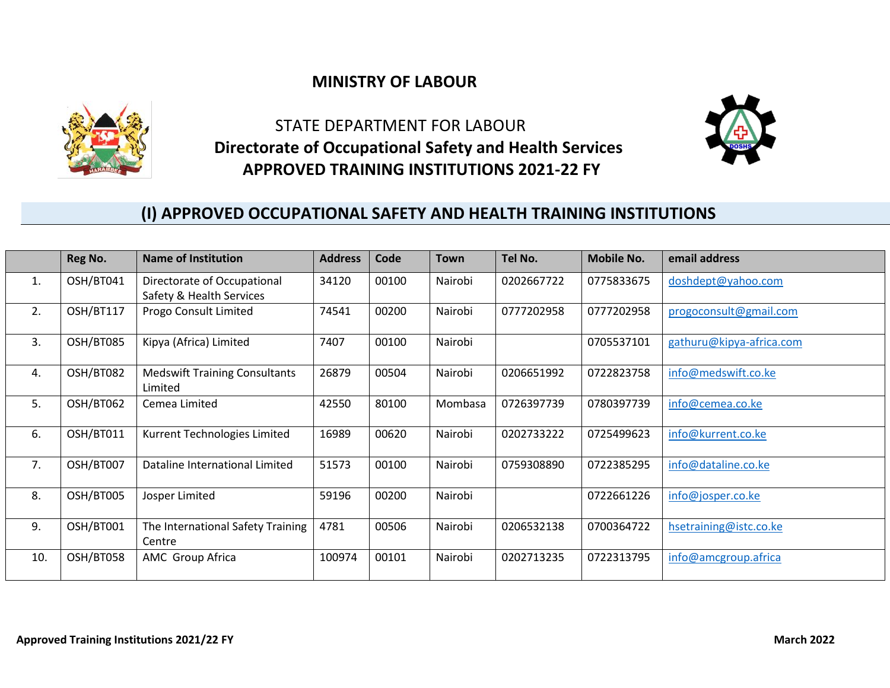## **MINISTRY OF LABOUR**



 STATE DEPARTMENT FOR LABOUR  **Directorate of Occupational Safety and Health Services APPROVED TRAINING INSTITUTIONS 2021-22 FY**



## **(I) APPROVED OCCUPATIONAL SAFETY AND HEALTH TRAINING INSTITUTIONS**

|     | Reg No.   | <b>Name of Institution</b>                              | <b>Address</b> | Code  | <b>Town</b> | Tel No.    | <b>Mobile No.</b> | email address            |
|-----|-----------|---------------------------------------------------------|----------------|-------|-------------|------------|-------------------|--------------------------|
| 1.  | OSH/BT041 | Directorate of Occupational<br>Safety & Health Services | 34120          | 00100 | Nairobi     | 0202667722 | 0775833675        | doshdept@yahoo.com       |
| 2.  | OSH/BT117 | Progo Consult Limited                                   | 74541          | 00200 | Nairobi     | 0777202958 | 0777202958        | progoconsult@gmail.com   |
| 3.  | OSH/BT085 | Kipya (Africa) Limited                                  | 7407           | 00100 | Nairobi     |            | 0705537101        | gathuru@kipya-africa.com |
| 4.  | OSH/BT082 | <b>Medswift Training Consultants</b><br>Limited         | 26879          | 00504 | Nairobi     | 0206651992 | 0722823758        | info@medswift.co.ke      |
| 5.  | OSH/BT062 | Cemea Limited                                           | 42550          | 80100 | Mombasa     | 0726397739 | 0780397739        | info@cemea.co.ke         |
| 6.  | OSH/BT011 | Kurrent Technologies Limited                            | 16989          | 00620 | Nairobi     | 0202733222 | 0725499623        | info@kurrent.co.ke       |
| 7.  | OSH/BT007 | Dataline International Limited                          | 51573          | 00100 | Nairobi     | 0759308890 | 0722385295        | info@dataline.co.ke      |
| 8.  | OSH/BT005 | Josper Limited                                          | 59196          | 00200 | Nairobi     |            | 0722661226        | info@josper.co.ke        |
| 9.  | OSH/BT001 | The International Safety Training<br>Centre             | 4781           | 00506 | Nairobi     | 0206532138 | 0700364722        | hsetraining@istc.co.ke   |
| 10. | OSH/BT058 | AMC Group Africa                                        | 100974         | 00101 | Nairobi     | 0202713235 | 0722313795        | info@amcgroup.africa     |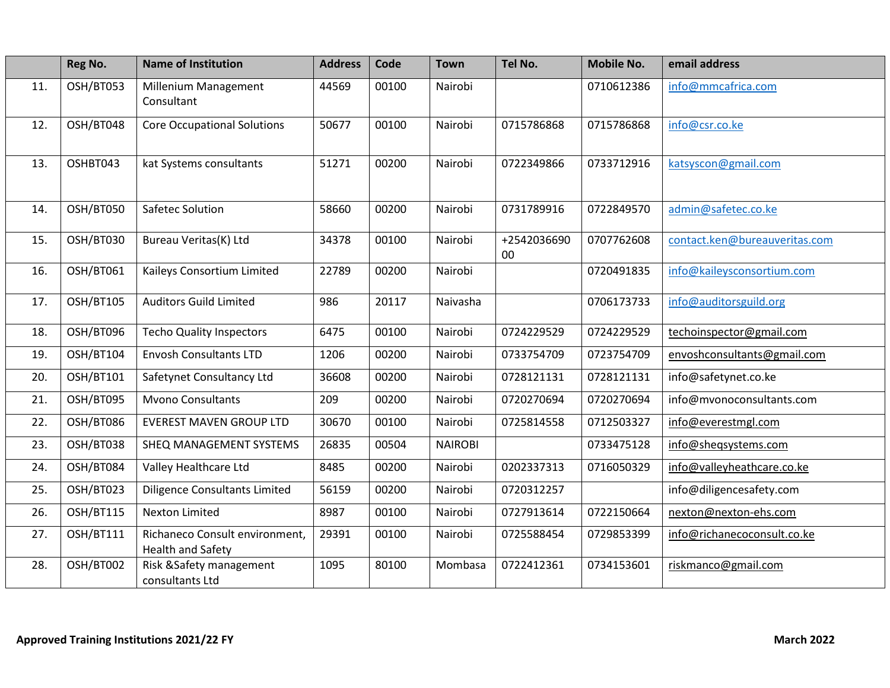|     | Reg No.   | <b>Name of Institution</b>                          | <b>Address</b> | Code  | <b>Town</b>    | Tel No.               | <b>Mobile No.</b> | email address                 |
|-----|-----------|-----------------------------------------------------|----------------|-------|----------------|-----------------------|-------------------|-------------------------------|
| 11. | OSH/BT053 | Millenium Management<br>Consultant                  | 44569          | 00100 | Nairobi        |                       | 0710612386        | info@mmcafrica.com            |
| 12. | OSH/BT048 | <b>Core Occupational Solutions</b>                  | 50677          | 00100 | Nairobi        | 0715786868            | 0715786868        | info@csr.co.ke                |
| 13. | OSHBT043  | kat Systems consultants                             | 51271          | 00200 | Nairobi        | 0722349866            | 0733712916        | katsyscon@gmail.com           |
| 14. | OSH/BT050 | Safetec Solution                                    | 58660          | 00200 | Nairobi        | 0731789916            | 0722849570        | admin@safetec.co.ke           |
| 15. | OSH/BT030 | Bureau Veritas(K) Ltd                               | 34378          | 00100 | Nairobi        | +2542036690<br>$00\,$ | 0707762608        | contact.ken@bureauveritas.com |
| 16. | OSH/BT061 | Kaileys Consortium Limited                          | 22789          | 00200 | Nairobi        |                       | 0720491835        | info@kaileysconsortium.com    |
| 17. | OSH/BT105 | <b>Auditors Guild Limited</b>                       | 986            | 20117 | Naivasha       |                       | 0706173733        | info@auditorsguild.org        |
| 18. | OSH/BT096 | <b>Techo Quality Inspectors</b>                     | 6475           | 00100 | Nairobi        | 0724229529            | 0724229529        | techoinspector@gmail.com      |
| 19. | OSH/BT104 | <b>Envosh Consultants LTD</b>                       | 1206           | 00200 | Nairobi        | 0733754709            | 0723754709        | envoshconsultants@gmail.com   |
| 20. | OSH/BT101 | Safetynet Consultancy Ltd                           | 36608          | 00200 | Nairobi        | 0728121131            | 0728121131        | info@safetynet.co.ke          |
| 21. | OSH/BT095 | <b>Mvono Consultants</b>                            | 209            | 00200 | Nairobi        | 0720270694            | 0720270694        | info@mvonoconsultants.com     |
| 22. | OSH/BT086 | <b>EVEREST MAVEN GROUP LTD</b>                      | 30670          | 00100 | Nairobi        | 0725814558            | 0712503327        | info@everestmgl.com           |
| 23. | OSH/BT038 | SHEQ MANAGEMENT SYSTEMS                             | 26835          | 00504 | <b>NAIROBI</b> |                       | 0733475128        | info@sheqsystems.com          |
| 24. | OSH/BT084 | Valley Healthcare Ltd                               | 8485           | 00200 | Nairobi        | 0202337313            | 0716050329        | info@valleyheathcare.co.ke    |
| 25. | OSH/BT023 | <b>Diligence Consultants Limited</b>                | 56159          | 00200 | Nairobi        | 0720312257            |                   | info@diligencesafety.com      |
| 26. | OSH/BT115 | <b>Nexton Limited</b>                               | 8987           | 00100 | Nairobi        | 0727913614            | 0722150664        | nexton@nexton-ehs.com         |
| 27. | OSH/BT111 | Richaneco Consult environment,<br>Health and Safety | 29391          | 00100 | Nairobi        | 0725588454            | 0729853399        | info@richanecoconsult.co.ke   |
| 28. | OSH/BT002 | Risk & Safety management<br>consultants Ltd         | 1095           | 80100 | Mombasa        | 0722412361            | 0734153601        | riskmanco@gmail.com           |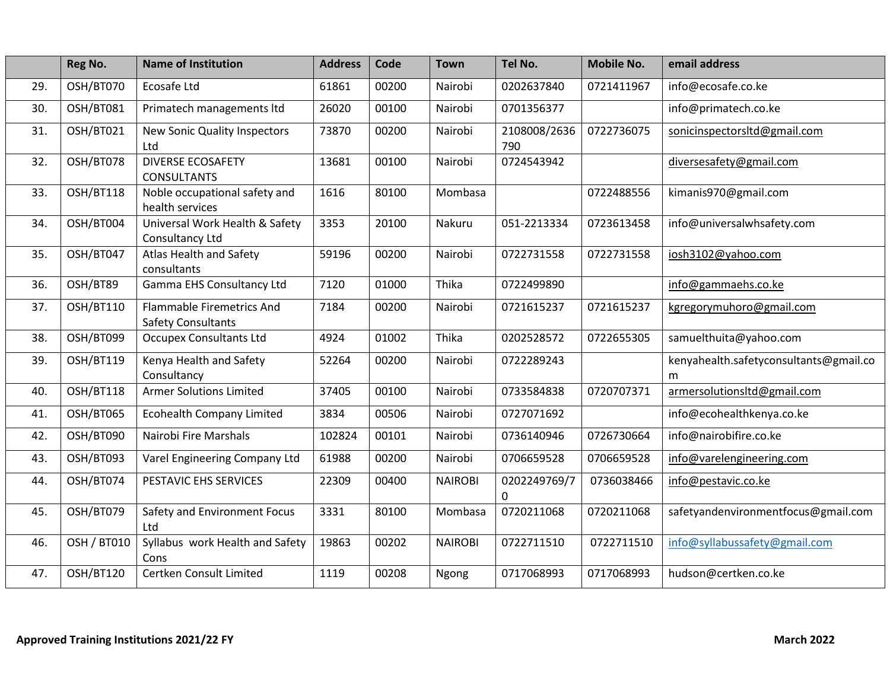|     | Reg No.            | <b>Name of Institution</b>                                    | <b>Address</b> | Code  | <b>Town</b>    | Tel No.                      | <b>Mobile No.</b> | email address                               |
|-----|--------------------|---------------------------------------------------------------|----------------|-------|----------------|------------------------------|-------------------|---------------------------------------------|
| 29. | OSH/BT070          | Ecosafe Ltd                                                   | 61861          | 00200 | Nairobi        | 0202637840                   | 0721411967        | info@ecosafe.co.ke                          |
| 30. | OSH/BT081          | Primatech managements ltd                                     | 26020          | 00100 | Nairobi        | 0701356377                   |                   | info@primatech.co.ke                        |
| 31. | OSH/BT021          | New Sonic Quality Inspectors<br>Ltd                           | 73870          | 00200 | Nairobi        | 2108008/2636<br>790          | 0722736075        | sonicinspectorsItd@gmail.com                |
| 32. | OSH/BT078          | <b>DIVERSE ECOSAFETY</b><br><b>CONSULTANTS</b>                | 13681          | 00100 | Nairobi        | 0724543942                   |                   | diversesafety@gmail.com                     |
| 33. | OSH/BT118          | Noble occupational safety and<br>health services              | 1616           | 80100 | Mombasa        |                              | 0722488556        | kimanis970@gmail.com                        |
| 34. | OSH/BT004          | Universal Work Health & Safety<br>Consultancy Ltd             | 3353           | 20100 | Nakuru         | 051-2213334                  | 0723613458        | info@universalwhsafety.com                  |
| 35. | OSH/BT047          | Atlas Health and Safety<br>consultants                        | 59196          | 00200 | Nairobi        | 0722731558                   | 0722731558        | iosh3102@yahoo.com                          |
| 36. | OSH/BT89           | Gamma EHS Consultancy Ltd                                     | 7120           | 01000 | Thika          | 0722499890                   |                   | info@gammaehs.co.ke                         |
| 37. | OSH/BT110          | <b>Flammable Firemetrics And</b><br><b>Safety Consultants</b> | 7184           | 00200 | Nairobi        | 0721615237                   | 0721615237        | kgregorymuhoro@gmail.com                    |
| 38. | OSH/BT099          | <b>Occupex Consultants Ltd</b>                                | 4924           | 01002 | Thika          | 0202528572                   | 0722655305        | samuelthuita@yahoo.com                      |
| 39. | OSH/BT119          | Kenya Health and Safety<br>Consultancy                        | 52264          | 00200 | Nairobi        | 0722289243                   |                   | kenyahealth.safetyconsultants@gmail.co<br>m |
| 40. | OSH/BT118          | <b>Armer Solutions Limited</b>                                | 37405          | 00100 | Nairobi        | 0733584838                   | 0720707371        | armersolutionsItd@gmail.com                 |
| 41. | OSH/BT065          | <b>Ecohealth Company Limited</b>                              | 3834           | 00506 | Nairobi        | 0727071692                   |                   | info@ecohealthkenya.co.ke                   |
| 42. | OSH/BT090          | Nairobi Fire Marshals                                         | 102824         | 00101 | Nairobi        | 0736140946                   | 0726730664        | info@nairobifire.co.ke                      |
| 43. | OSH/BT093          | Varel Engineering Company Ltd                                 | 61988          | 00200 | Nairobi        | 0706659528                   | 0706659528        | info@varelengineering.com                   |
| 44. | OSH/BT074          | PESTAVIC EHS SERVICES                                         | 22309          | 00400 | <b>NAIROBI</b> | 0202249769/7<br>$\mathbf{0}$ | 0736038466        | info@pestavic.co.ke                         |
| 45. | OSH/BT079          | Safety and Environment Focus<br>Ltd                           | 3331           | 80100 | Mombasa        | 0720211068                   | 0720211068        | safetyandenvironmentfocus@gmail.com         |
| 46. | <b>OSH / BT010</b> | Syllabus work Health and Safety<br>Cons                       | 19863          | 00202 | <b>NAIROBI</b> | 0722711510                   | 0722711510        | info@syllabussafety@gmail.com               |
| 47. | OSH/BT120          | Certken Consult Limited                                       | 1119           | 00208 | Ngong          | 0717068993                   | 0717068993        | hudson@certken.co.ke                        |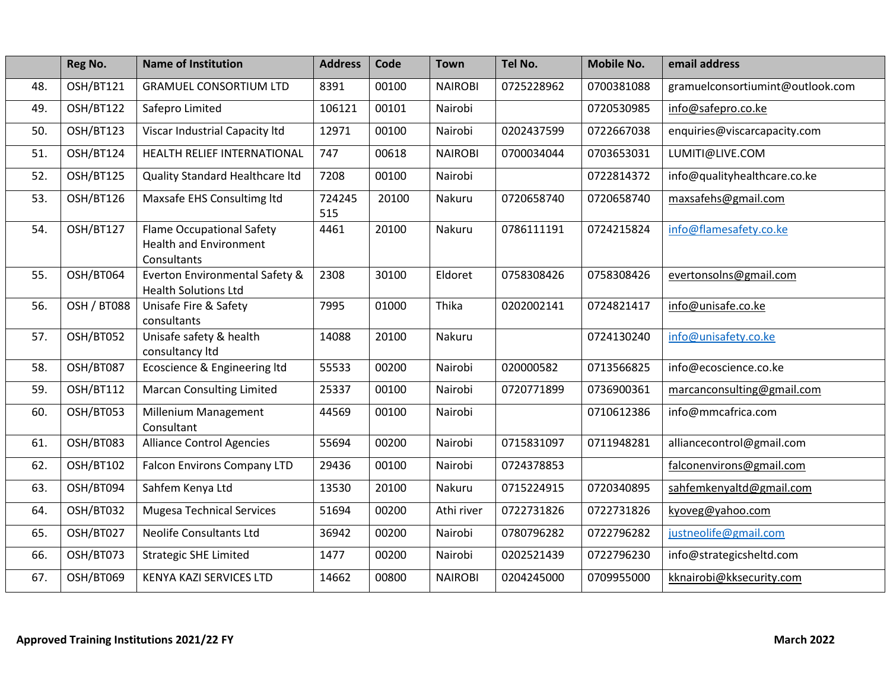|     | Reg No.          | <b>Name of Institution</b>                                                       | <b>Address</b> | Code  | <b>Town</b>    | Tel No.    | <b>Mobile No.</b> | email address                    |
|-----|------------------|----------------------------------------------------------------------------------|----------------|-------|----------------|------------|-------------------|----------------------------------|
| 48. | OSH/BT121        | <b>GRAMUEL CONSORTIUM LTD</b>                                                    | 8391           | 00100 | <b>NAIROBI</b> | 0725228962 | 0700381088        | gramuelconsortiumint@outlook.com |
| 49. | OSH/BT122        | Safepro Limited                                                                  | 106121         | 00101 | Nairobi        |            | 0720530985        | info@safepro.co.ke               |
| 50. | OSH/BT123        | Viscar Industrial Capacity Itd                                                   | 12971          | 00100 | Nairobi        | 0202437599 | 0722667038        | enquiries@viscarcapacity.com     |
| 51. | OSH/BT124        | HEALTH RELIEF INTERNATIONAL                                                      | 747            | 00618 | <b>NAIROBI</b> | 0700034044 | 0703653031        | LUMITI@LIVE.COM                  |
| 52. | OSH/BT125        | Quality Standard Healthcare Itd                                                  | 7208           | 00100 | Nairobi        |            | 0722814372        | info@qualityhealthcare.co.ke     |
| 53. | OSH/BT126        | Maxsafe EHS Consultimg ltd                                                       | 724245<br>515  | 20100 | Nakuru         | 0720658740 | 0720658740        | maxsafehs@gmail.com              |
| 54. | OSH/BT127        | <b>Flame Occupational Safety</b><br><b>Health and Environment</b><br>Consultants | 4461           | 20100 | Nakuru         | 0786111191 | 0724215824        | info@flamesafety.co.ke           |
| 55. | OSH/BT064        | Everton Environmental Safety &<br><b>Health Solutions Ltd</b>                    | 2308           | 30100 | Eldoret        | 0758308426 | 0758308426        | evertonsolns@gmail.com           |
| 56. | OSH / BT088      | Unisafe Fire & Safety<br>consultants                                             | 7995           | 01000 | Thika          | 0202002141 | 0724821417        | info@unisafe.co.ke               |
| 57. | OSH/BT052        | Unisafe safety & health<br>consultancy Itd                                       | 14088          | 20100 | Nakuru         |            | 0724130240        | info@unisafety.co.ke             |
| 58. | <b>OSH/BT087</b> | Ecoscience & Engineering ltd                                                     | 55533          | 00200 | Nairobi        | 020000582  | 0713566825        | info@ecoscience.co.ke            |
| 59. | OSH/BT112        | <b>Marcan Consulting Limited</b>                                                 | 25337          | 00100 | Nairobi        | 0720771899 | 0736900361        | marcanconsulting@gmail.com       |
| 60. | OSH/BT053        | Millenium Management<br>Consultant                                               | 44569          | 00100 | Nairobi        |            | 0710612386        | info@mmcafrica.com               |
| 61. | OSH/BT083        | <b>Alliance Control Agencies</b>                                                 | 55694          | 00200 | Nairobi        | 0715831097 | 0711948281        | alliancecontrol@gmail.com        |
| 62. | OSH/BT102        | <b>Falcon Environs Company LTD</b>                                               | 29436          | 00100 | Nairobi        | 0724378853 |                   | falconenvirons@gmail.com         |
| 63. | OSH/BT094        | Sahfem Kenya Ltd                                                                 | 13530          | 20100 | Nakuru         | 0715224915 | 0720340895        | sahfemkenyaltd@gmail.com         |
| 64. | OSH/BT032        | <b>Mugesa Technical Services</b>                                                 | 51694          | 00200 | Athi river     | 0722731826 | 0722731826        | kyoveg@yahoo.com                 |
| 65. | OSH/BT027        | <b>Neolife Consultants Ltd</b>                                                   | 36942          | 00200 | Nairobi        | 0780796282 | 0722796282        | justneolife@gmail.com            |
| 66. | OSH/BT073        | <b>Strategic SHE Limited</b>                                                     | 1477           | 00200 | Nairobi        | 0202521439 | 0722796230        | info@strategicsheltd.com         |
| 67. | OSH/BT069        | KENYA KAZI SERVICES LTD                                                          | 14662          | 00800 | <b>NAIROBI</b> | 0204245000 | 0709955000        | kknairobi@kksecurity.com         |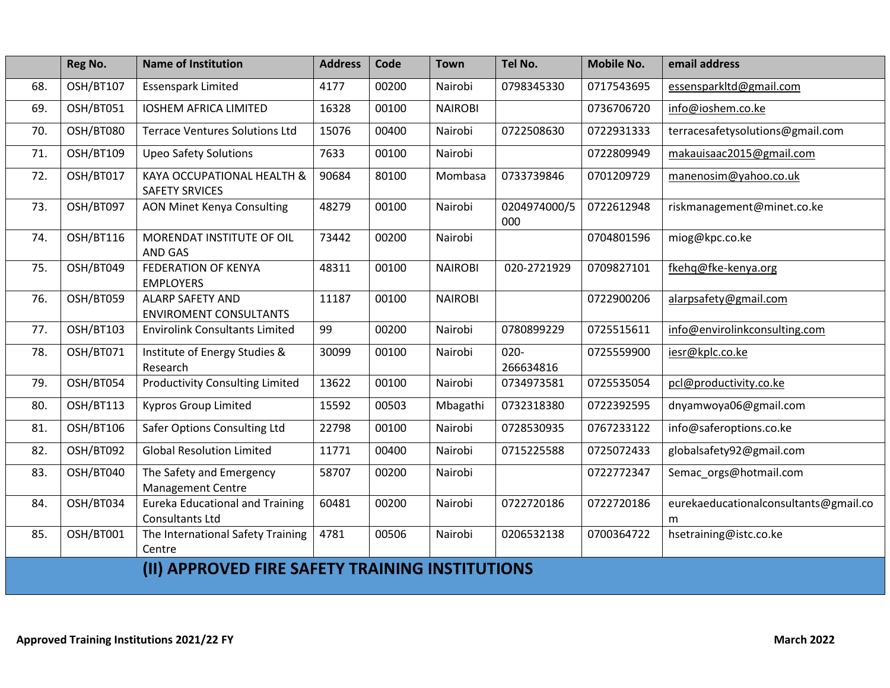|     | Reg No.   | <b>Name of Institution</b>                                | <b>Address</b> | Code  | <b>Town</b>    | Tel No.              | <b>Mobile No.</b> | email address                              |
|-----|-----------|-----------------------------------------------------------|----------------|-------|----------------|----------------------|-------------------|--------------------------------------------|
| 68. | OSH/BT107 | <b>Essenspark Limited</b>                                 | 4177           | 00200 | Nairobi        | 0798345330           | 0717543695        | essensparkltd@gmail.com                    |
| 69. | OSH/BT051 | <b>IOSHEM AFRICA LIMITED</b>                              | 16328          | 00100 | <b>NAIROBI</b> |                      | 0736706720        | info@ioshem.co.ke                          |
| 70. | OSH/BT080 | <b>Terrace Ventures Solutions Ltd</b>                     | 15076          | 00400 | Nairobi        | 0722508630           | 0722931333        | terracesafetysolutions@gmail.com           |
| 71. | OSH/BT109 | <b>Upeo Safety Solutions</b>                              | 7633           | 00100 | Nairobi        |                      | 0722809949        | makauisaac2015@gmail.com                   |
| 72. | OSH/BT017 | KAYA OCCUPATIONAL HEALTH &<br><b>SAFETY SRVICES</b>       | 90684          | 80100 | Mombasa        | 0733739846           | 0701209729        | manenosim@yahoo.co.uk                      |
| 73. | OSH/BT097 | <b>AON Minet Kenya Consulting</b>                         | 48279          | 00100 | Nairobi        | 0204974000/5<br>000  | 0722612948        | riskmanagement@minet.co.ke                 |
| 74. | OSH/BT116 | MORENDAT INSTITUTE OF OIL<br><b>AND GAS</b>               | 73442          | 00200 | Nairobi        |                      | 0704801596        | miog@kpc.co.ke                             |
| 75. | OSH/BT049 | <b>FEDERATION OF KENYA</b><br><b>EMPLOYERS</b>            | 48311          | 00100 | <b>NAIROBI</b> | 020-2721929          | 0709827101        | fkehq@fke-kenya.org                        |
| 76. | OSH/BT059 | <b>ALARP SAFETY AND</b><br><b>ENVIROMENT CONSULTANTS</b>  | 11187          | 00100 | <b>NAIROBI</b> |                      | 0722900206        | alarpsafety@gmail.com                      |
| 77. | OSH/BT103 | <b>Envirolink Consultants Limited</b>                     | 99             | 00200 | Nairobi        | 0780899229           | 0725515611        | info@envirolinkconsulting.com              |
| 78. | OSH/BT071 | Institute of Energy Studies &<br>Research                 | 30099          | 00100 | Nairobi        | $020 -$<br>266634816 | 0725559900        | iesr@kplc.co.ke                            |
| 79. | OSH/BT054 | <b>Productivity Consulting Limited</b>                    | 13622          | 00100 | Nairobi        | 0734973581           | 0725535054        | pcl@productivity.co.ke                     |
| 80. | OSH/BT113 | <b>Kypros Group Limited</b>                               | 15592          | 00503 | Mbagathi       | 0732318380           | 0722392595        | dnyamwoya06@gmail.com                      |
| 81. | OSH/BT106 | Safer Options Consulting Ltd                              | 22798          | 00100 | Nairobi        | 0728530935           | 0767233122        | info@saferoptions.co.ke                    |
| 82. | OSH/BT092 | <b>Global Resolution Limited</b>                          | 11771          | 00400 | Nairobi        | 0715225588           | 0725072433        | globalsafety92@gmail.com                   |
| 83. | OSH/BT040 | The Safety and Emergency<br><b>Management Centre</b>      | 58707          | 00200 | Nairobi        |                      | 0722772347        | Semac orgs@hotmail.com                     |
| 84. | OSH/BT034 | <b>Eureka Educational and Training</b><br>Consultants Ltd | 60481          | 00200 | Nairobi        | 0722720186           | 0722720186        | eurekaeducationalconsultants@gmail.co<br>m |
| 85. | OSH/BT001 | The International Safety Training<br>Centre               | 4781           | 00506 | Nairobi        | 0206532138           | 0700364722        | hsetraining@istc.co.ke                     |
|     |           | (II) APPROVED FIRE SAFETY TRAINING INSTITUTIONS           |                |       |                |                      |                   |                                            |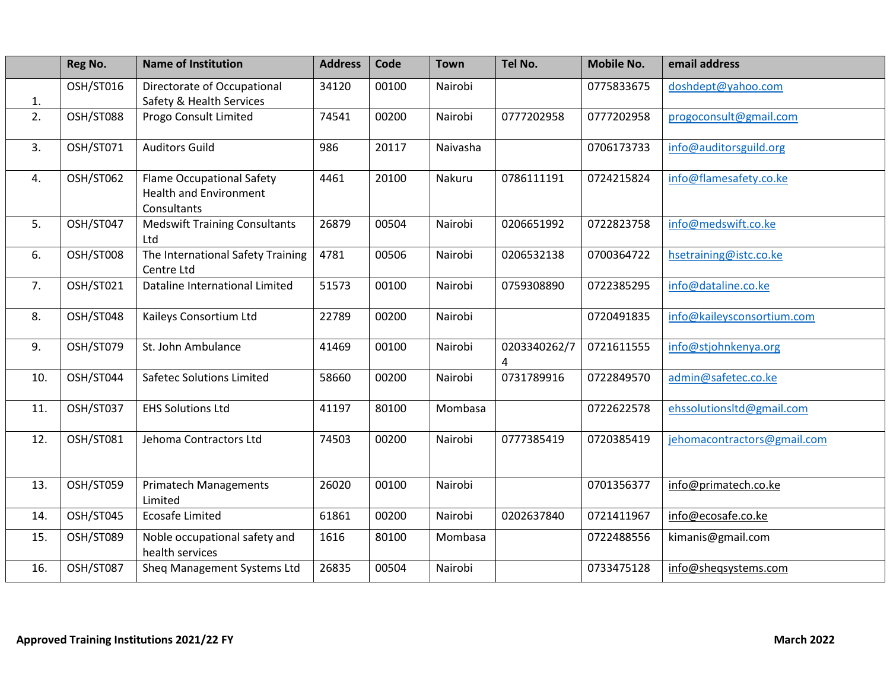|     | Reg No.          | <b>Name of Institution</b>                                                       | <b>Address</b> | Code  | <b>Town</b> | Tel No.                        | <b>Mobile No.</b> | email address               |
|-----|------------------|----------------------------------------------------------------------------------|----------------|-------|-------------|--------------------------------|-------------------|-----------------------------|
| 1.  | OSH/ST016        | Directorate of Occupational<br>Safety & Health Services                          | 34120          | 00100 | Nairobi     |                                | 0775833675        | doshdept@yahoo.com          |
| 2.  | OSH/ST088        | Progo Consult Limited                                                            | 74541          | 00200 | Nairobi     | 0777202958                     | 0777202958        | progoconsult@gmail.com      |
| 3.  | OSH/ST071        | <b>Auditors Guild</b>                                                            | 986            | 20117 | Naivasha    |                                | 0706173733        | info@auditorsguild.org      |
| 4.  | OSH/ST062        | <b>Flame Occupational Safety</b><br><b>Health and Environment</b><br>Consultants | 4461           | 20100 | Nakuru      | 0786111191                     | 0724215824        | info@flamesafety.co.ke      |
| 5.  | OSH/ST047        | <b>Medswift Training Consultants</b><br>Ltd                                      | 26879          | 00504 | Nairobi     | 0206651992                     | 0722823758        | info@medswift.co.ke         |
| 6.  | OSH/ST008        | The International Safety Training<br>Centre Ltd                                  | 4781           | 00506 | Nairobi     | 0206532138                     | 0700364722        | hsetraining@istc.co.ke      |
| 7.  | <b>OSH/ST021</b> | Dataline International Limited                                                   | 51573          | 00100 | Nairobi     | 0759308890                     | 0722385295        | info@dataline.co.ke         |
| 8.  | OSH/ST048        | Kaileys Consortium Ltd                                                           | 22789          | 00200 | Nairobi     |                                | 0720491835        | info@kaileysconsortium.com  |
| 9.  | OSH/ST079        | St. John Ambulance                                                               | 41469          | 00100 | Nairobi     | 0203340262/7<br>$\overline{4}$ | 0721611555        | info@stjohnkenya.org        |
| 10. | OSH/ST044        | <b>Safetec Solutions Limited</b>                                                 | 58660          | 00200 | Nairobi     | 0731789916                     | 0722849570        | admin@safetec.co.ke         |
| 11. | OSH/ST037        | <b>EHS Solutions Ltd</b>                                                         | 41197          | 80100 | Mombasa     |                                | 0722622578        | ehssolutionsItd@gmail.com   |
| 12. | OSH/ST081        | Jehoma Contractors Ltd                                                           | 74503          | 00200 | Nairobi     | 0777385419                     | 0720385419        | jehomacontractors@gmail.com |
| 13. | OSH/ST059        | <b>Primatech Managements</b><br>Limited                                          | 26020          | 00100 | Nairobi     |                                | 0701356377        | info@primatech.co.ke        |
| 14. | OSH/ST045        | <b>Ecosafe Limited</b>                                                           | 61861          | 00200 | Nairobi     | 0202637840                     | 0721411967        | info@ecosafe.co.ke          |
| 15. | OSH/ST089        | Noble occupational safety and<br>health services                                 | 1616           | 80100 | Mombasa     |                                | 0722488556        | kimanis@gmail.com           |
| 16. | OSH/ST087        | Sheq Management Systems Ltd                                                      | 26835          | 00504 | Nairobi     |                                | 0733475128        | info@sheqsystems.com        |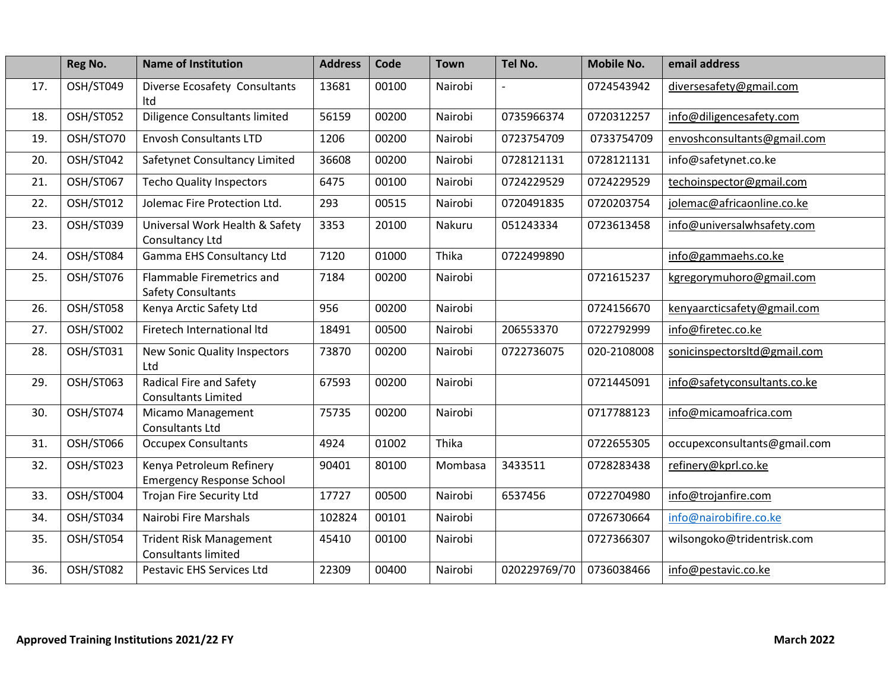|     | Reg No.   | <b>Name of Institution</b>                                   | <b>Address</b> | Code  | <b>Town</b> | Tel No.      | <b>Mobile No.</b> | email address                |
|-----|-----------|--------------------------------------------------------------|----------------|-------|-------------|--------------|-------------------|------------------------------|
| 17. | OSH/ST049 | Diverse Ecosafety Consultants<br>Itd                         | 13681          | 00100 | Nairobi     |              | 0724543942        | diversesafety@gmail.com      |
| 18. | OSH/ST052 | <b>Diligence Consultants limited</b>                         | 56159          | 00200 | Nairobi     | 0735966374   | 0720312257        | info@diligencesafety.com     |
| 19. | OSH/STO70 | <b>Envosh Consultants LTD</b>                                | 1206           | 00200 | Nairobi     | 0723754709   | 0733754709        | envoshconsultants@gmail.com  |
| 20. | OSH/ST042 | Safetynet Consultancy Limited                                | 36608          | 00200 | Nairobi     | 0728121131   | 0728121131        | info@safetynet.co.ke         |
| 21. | OSH/ST067 | <b>Techo Quality Inspectors</b>                              | 6475           | 00100 | Nairobi     | 0724229529   | 0724229529        | techoinspector@gmail.com     |
| 22. | OSH/ST012 | Jolemac Fire Protection Ltd.                                 | 293            | 00515 | Nairobi     | 0720491835   | 0720203754        | jolemac@africaonline.co.ke   |
| 23. | OSH/ST039 | Universal Work Health & Safety<br>Consultancy Ltd            | 3353           | 20100 | Nakuru      | 051243334    | 0723613458        | info@universalwhsafety.com   |
| 24. | OSH/ST084 | Gamma EHS Consultancy Ltd                                    | 7120           | 01000 | Thika       | 0722499890   |                   | info@gammaehs.co.ke          |
| 25. | OSH/ST076 | Flammable Firemetrics and<br><b>Safety Consultants</b>       | 7184           | 00200 | Nairobi     |              | 0721615237        | kgregorymuhoro@gmail.com     |
| 26. | OSH/ST058 | Kenya Arctic Safety Ltd                                      | 956            | 00200 | Nairobi     |              | 0724156670        | kenyaarcticsafety@gmail.com  |
| 27. | OSH/ST002 | Firetech International Itd                                   | 18491          | 00500 | Nairobi     | 206553370    | 0722792999        | info@firetec.co.ke           |
| 28. | OSH/ST031 | New Sonic Quality Inspectors<br>Ltd                          | 73870          | 00200 | Nairobi     | 0722736075   | 020-2108008       | sonicinspectorsItd@gmail.com |
| 29. | OSH/ST063 | Radical Fire and Safety<br><b>Consultants Limited</b>        | 67593          | 00200 | Nairobi     |              | 0721445091        | info@safetyconsultants.co.ke |
| 30. | OSH/ST074 | Micamo Management<br>Consultants Ltd                         | 75735          | 00200 | Nairobi     |              | 0717788123        | info@micamoafrica.com        |
| 31. | OSH/ST066 | <b>Occupex Consultants</b>                                   | 4924           | 01002 | Thika       |              | 0722655305        | occupexconsultants@gmail.com |
| 32. | OSH/ST023 | Kenya Petroleum Refinery<br><b>Emergency Response School</b> | 90401          | 80100 | Mombasa     | 3433511      | 0728283438        | refinery@kprl.co.ke          |
| 33. | OSH/ST004 | <b>Trojan Fire Security Ltd</b>                              | 17727          | 00500 | Nairobi     | 6537456      | 0722704980        | info@trojanfire.com          |
| 34. | OSH/ST034 | Nairobi Fire Marshals                                        | 102824         | 00101 | Nairobi     |              | 0726730664        | info@nairobifire.co.ke       |
| 35. | OSH/ST054 | <b>Trident Risk Management</b><br><b>Consultants limited</b> | 45410          | 00100 | Nairobi     |              | 0727366307        | wilsongoko@tridentrisk.com   |
| 36. | OSH/ST082 | <b>Pestavic EHS Services Ltd</b>                             | 22309          | 00400 | Nairobi     | 020229769/70 | 0736038466        | info@pestavic.co.ke          |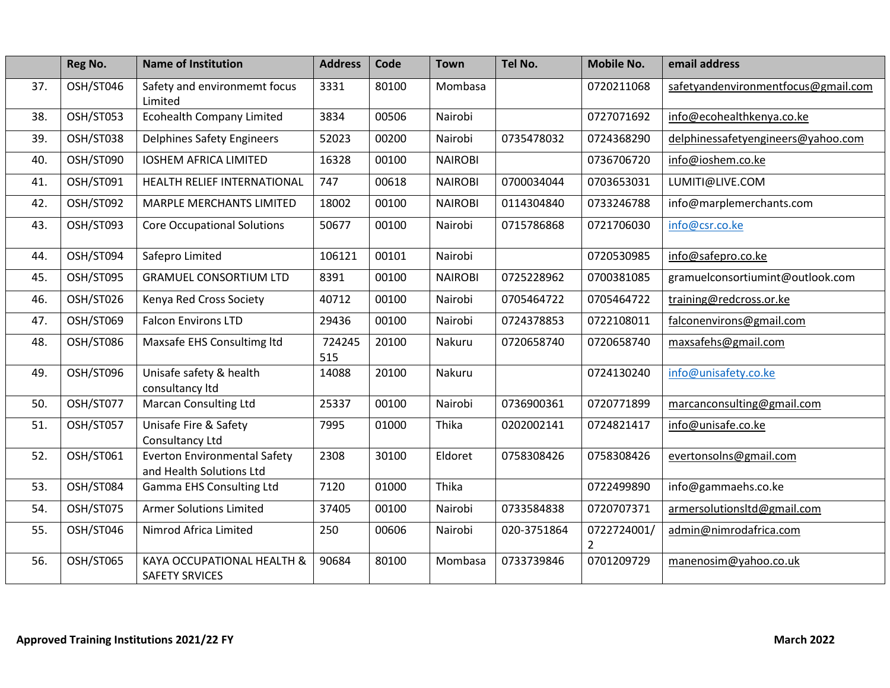|     | Reg No.   | <b>Name of Institution</b>                                      | <b>Address</b> | Code  | <b>Town</b>    | Tel No.     | <b>Mobile No.</b>            | email address                       |
|-----|-----------|-----------------------------------------------------------------|----------------|-------|----------------|-------------|------------------------------|-------------------------------------|
| 37. | OSH/ST046 | Safety and environmemt focus<br>Limited                         | 3331           | 80100 | Mombasa        |             | 0720211068                   | safetyandenvironmentfocus@gmail.com |
| 38. | OSH/ST053 | <b>Ecohealth Company Limited</b>                                | 3834           | 00506 | Nairobi        |             | 0727071692                   | info@ecohealthkenya.co.ke           |
| 39. | OSH/ST038 | <b>Delphines Safety Engineers</b>                               | 52023          | 00200 | Nairobi        | 0735478032  | 0724368290                   | delphinessafetyengineers@yahoo.com  |
| 40. | OSH/ST090 | <b>IOSHEM AFRICA LIMITED</b>                                    | 16328          | 00100 | <b>NAIROBI</b> |             | 0736706720                   | info@ioshem.co.ke                   |
| 41. | OSH/ST091 | HEALTH RELIEF INTERNATIONAL                                     | 747            | 00618 | <b>NAIROBI</b> | 0700034044  | 0703653031                   | LUMITI@LIVE.COM                     |
| 42. | OSH/ST092 | MARPLE MERCHANTS LIMITED                                        | 18002          | 00100 | <b>NAIROBI</b> | 0114304840  | 0733246788                   | info@marplemerchants.com            |
| 43. | OSH/ST093 | <b>Core Occupational Solutions</b>                              | 50677          | 00100 | Nairobi        | 0715786868  | 0721706030                   | info@csr.co.ke                      |
| 44. | OSH/ST094 | Safepro Limited                                                 | 106121         | 00101 | Nairobi        |             | 0720530985                   | info@safepro.co.ke                  |
| 45. | OSH/ST095 | <b>GRAMUEL CONSORTIUM LTD</b>                                   | 8391           | 00100 | <b>NAIROBI</b> | 0725228962  | 0700381085                   | gramuelconsortiumint@outlook.com    |
| 46. | OSH/ST026 | Kenya Red Cross Society                                         | 40712          | 00100 | Nairobi        | 0705464722  | 0705464722                   | training@redcross.or.ke             |
| 47. | OSH/ST069 | <b>Falcon Environs LTD</b>                                      | 29436          | 00100 | Nairobi        | 0724378853  | 0722108011                   | falconenvirons@gmail.com            |
| 48. | OSH/ST086 | Maxsafe EHS Consultimg ltd                                      | 724245<br>515  | 20100 | Nakuru         | 0720658740  | 0720658740                   | maxsafehs@gmail.com                 |
| 49. | OSH/ST096 | Unisafe safety & health<br>consultancy Itd                      | 14088          | 20100 | Nakuru         |             | 0724130240                   | info@unisafety.co.ke                |
| 50. | OSH/ST077 | <b>Marcan Consulting Ltd</b>                                    | 25337          | 00100 | Nairobi        | 0736900361  | 0720771899                   | marcanconsulting@gmail.com          |
| 51. | OSH/ST057 | Unisafe Fire & Safety<br>Consultancy Ltd                        | 7995           | 01000 | Thika          | 0202002141  | 0724821417                   | info@unisafe.co.ke                  |
| 52. | OSH/ST061 | <b>Everton Environmental Safety</b><br>and Health Solutions Ltd | 2308           | 30100 | Eldoret        | 0758308426  | 0758308426                   | evertonsolns@gmail.com              |
| 53. | OSH/ST084 | Gamma EHS Consulting Ltd                                        | 7120           | 01000 | Thika          |             | 0722499890                   | info@gammaehs.co.ke                 |
| 54. | OSH/ST075 | <b>Armer Solutions Limited</b>                                  | 37405          | 00100 | Nairobi        | 0733584838  | 0720707371                   | armersolutionsItd@gmail.com         |
| 55. | OSH/ST046 | Nimrod Africa Limited                                           | 250            | 00606 | Nairobi        | 020-3751864 | 0722724001/<br>$\mathfrak z$ | admin@nimrodafrica.com              |
| 56. | OSH/ST065 | KAYA OCCUPATIONAL HEALTH &<br><b>SAFETY SRVICES</b>             | 90684          | 80100 | Mombasa        | 0733739846  | 0701209729                   | manenosim@yahoo.co.uk               |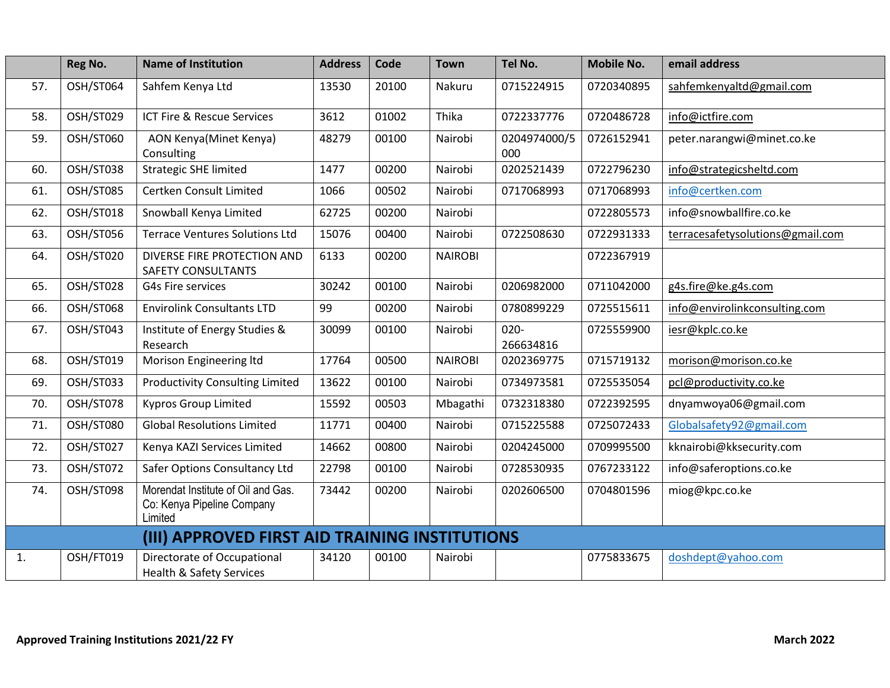|     | Reg No.   | <b>Name of Institution</b>                                                  | <b>Address</b> | Code  | <b>Town</b>    | Tel No.              | <b>Mobile No.</b> | email address                    |
|-----|-----------|-----------------------------------------------------------------------------|----------------|-------|----------------|----------------------|-------------------|----------------------------------|
| 57. | OSH/ST064 | Sahfem Kenya Ltd                                                            | 13530          | 20100 | Nakuru         | 0715224915           | 0720340895        | sahfemkenyaltd@gmail.com         |
| 58. | OSH/ST029 | ICT Fire & Rescue Services                                                  | 3612           | 01002 | Thika          | 0722337776           | 0720486728        | info@ictfire.com                 |
| 59. | OSH/ST060 | <b>AON Kenya (Minet Kenya)</b><br>Consulting                                | 48279          | 00100 | Nairobi        | 0204974000/5<br>000  | 0726152941        | peter.narangwi@minet.co.ke       |
| 60. | OSH/ST038 | <b>Strategic SHE limited</b>                                                | 1477           | 00200 | Nairobi        | 0202521439           | 0722796230        | info@strategicsheltd.com         |
| 61. | OSH/ST085 | Certken Consult Limited                                                     | 1066           | 00502 | Nairobi        | 0717068993           | 0717068993        | info@certken.com                 |
| 62. | OSH/ST018 | Snowball Kenya Limited                                                      | 62725          | 00200 | Nairobi        |                      | 0722805573        | info@snowballfire.co.ke          |
| 63. | OSH/ST056 | <b>Terrace Ventures Solutions Ltd</b>                                       | 15076          | 00400 | Nairobi        | 0722508630           | 0722931333        | terracesafetysolutions@gmail.com |
| 64. | OSH/ST020 | DIVERSE FIRE PROTECTION AND<br><b>SAFETY CONSULTANTS</b>                    | 6133           | 00200 | <b>NAIROBI</b> |                      | 0722367919        |                                  |
| 65. | OSH/ST028 | G4s Fire services                                                           | 30242          | 00100 | Nairobi        | 0206982000           | 0711042000        | g4s.fire@ke.g4s.com              |
| 66. | OSH/ST068 | <b>Envirolink Consultants LTD</b>                                           | 99             | 00200 | Nairobi        | 0780899229           | 0725515611        | info@envirolinkconsulting.com    |
| 67. | OSH/ST043 | Institute of Energy Studies &<br>Research                                   | 30099          | 00100 | Nairobi        | $020 -$<br>266634816 | 0725559900        | iesr@kplc.co.ke                  |
| 68. | OSH/ST019 | Morison Engineering Itd                                                     | 17764          | 00500 | <b>NAIROBI</b> | 0202369775           | 0715719132        | morison@morison.co.ke            |
| 69. | OSH/ST033 | <b>Productivity Consulting Limited</b>                                      | 13622          | 00100 | Nairobi        | 0734973581           | 0725535054        | pcl@productivity.co.ke           |
| 70. | OSH/ST078 | <b>Kypros Group Limited</b>                                                 | 15592          | 00503 | Mbagathi       | 0732318380           | 0722392595        | dnyamwoya06@gmail.com            |
| 71. | OSH/ST080 | <b>Global Resolutions Limited</b>                                           | 11771          | 00400 | Nairobi        | 0715225588           | 0725072433        | Globalsafety92@gmail.com         |
| 72. | OSH/ST027 | Kenya KAZI Services Limited                                                 | 14662          | 00800 | Nairobi        | 0204245000           | 0709995500        | kknairobi@kksecurity.com         |
| 73. | OSH/ST072 | Safer Options Consultancy Ltd                                               | 22798          | 00100 | Nairobi        | 0728530935           | 0767233122        | info@saferoptions.co.ke          |
| 74. | OSH/ST098 | Morendat Institute of Oil and Gas.<br>Co: Kenya Pipeline Company<br>Limited | 73442          | 00200 | Nairobi        | 0202606500           | 0704801596        | miog@kpc.co.ke                   |
|     |           | (III) APPROVED FIRST AID TRAINING INSTITUTIONS                              |                |       |                |                      |                   |                                  |
| 1.  | OSH/FT019 | Directorate of Occupational<br><b>Health &amp; Safety Services</b>          | 34120          | 00100 | Nairobi        |                      | 0775833675        | doshdept@yahoo.com               |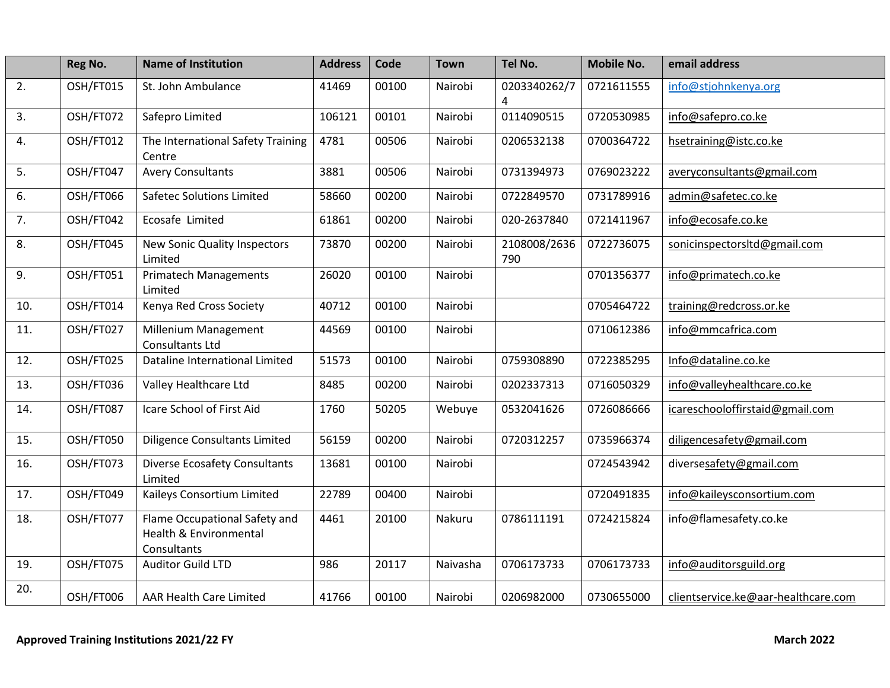|     | Reg No.   | <b>Name of Institution</b>                                             | <b>Address</b> | Code  | <b>Town</b> | Tel No.             | <b>Mobile No.</b> | email address                       |
|-----|-----------|------------------------------------------------------------------------|----------------|-------|-------------|---------------------|-------------------|-------------------------------------|
| 2.  | OSH/FT015 | St. John Ambulance                                                     | 41469          | 00100 | Nairobi     | 0203340262/7<br>4   | 0721611555        | info@stjohnkenya.org                |
| 3.  | OSH/FT072 | Safepro Limited                                                        | 106121         | 00101 | Nairobi     | 0114090515          | 0720530985        | info@safepro.co.ke                  |
| 4.  | OSH/FT012 | The International Safety Training<br>Centre                            | 4781           | 00506 | Nairobi     | 0206532138          | 0700364722        | hsetraining@istc.co.ke              |
| 5.  | OSH/FT047 | <b>Avery Consultants</b>                                               | 3881           | 00506 | Nairobi     | 0731394973          | 0769023222        | averyconsultants@gmail.com          |
| 6.  | OSH/FT066 | <b>Safetec Solutions Limited</b>                                       | 58660          | 00200 | Nairobi     | 0722849570          | 0731789916        | admin@safetec.co.ke                 |
| 7.  | OSH/FT042 | Ecosafe Limited                                                        | 61861          | 00200 | Nairobi     | 020-2637840         | 0721411967        | info@ecosafe.co.ke                  |
| 8.  | OSH/FT045 | <b>New Sonic Quality Inspectors</b><br>Limited                         | 73870          | 00200 | Nairobi     | 2108008/2636<br>790 | 0722736075        | sonicinspectorsItd@gmail.com        |
| 9.  | OSH/FT051 | <b>Primatech Managements</b><br>Limited                                | 26020          | 00100 | Nairobi     |                     | 0701356377        | info@primatech.co.ke                |
| 10. | OSH/FT014 | Kenya Red Cross Society                                                | 40712          | 00100 | Nairobi     |                     | 0705464722        | training@redcross.or.ke             |
| 11. | OSH/FT027 | Millenium Management<br>Consultants Ltd                                | 44569          | 00100 | Nairobi     |                     | 0710612386        | info@mmcafrica.com                  |
| 12. | OSH/FT025 | Dataline International Limited                                         | 51573          | 00100 | Nairobi     | 0759308890          | 0722385295        | Info@dataline.co.ke                 |
| 13. | OSH/FT036 | Valley Healthcare Ltd                                                  | 8485           | 00200 | Nairobi     | 0202337313          | 0716050329        | info@valleyhealthcare.co.ke         |
| 14. | OSH/FT087 | Icare School of First Aid                                              | 1760           | 50205 | Webuye      | 0532041626          | 0726086666        | icareschooloffirstaid@gmail.com     |
| 15. | OSH/FT050 | <b>Diligence Consultants Limited</b>                                   | 56159          | 00200 | Nairobi     | 0720312257          | 0735966374        | diligencesafety@gmail.com           |
| 16. | OSH/FT073 | <b>Diverse Ecosafety Consultants</b><br>Limited                        | 13681          | 00100 | Nairobi     |                     | 0724543942        | diversesafety@gmail.com             |
| 17. | OSH/FT049 | Kaileys Consortium Limited                                             | 22789          | 00400 | Nairobi     |                     | 0720491835        | info@kaileysconsortium.com          |
| 18. | OSH/FT077 | Flame Occupational Safety and<br>Health & Environmental<br>Consultants | 4461           | 20100 | Nakuru      | 0786111191          | 0724215824        | info@flamesafety.co.ke              |
| 19. | OSH/FT075 | <b>Auditor Guild LTD</b>                                               | 986            | 20117 | Naivasha    | 0706173733          | 0706173733        | info@auditorsguild.org              |
| 20. | OSH/FT006 | AAR Health Care Limited                                                | 41766          | 00100 | Nairobi     | 0206982000          | 0730655000        | clientservice.ke@aar-healthcare.com |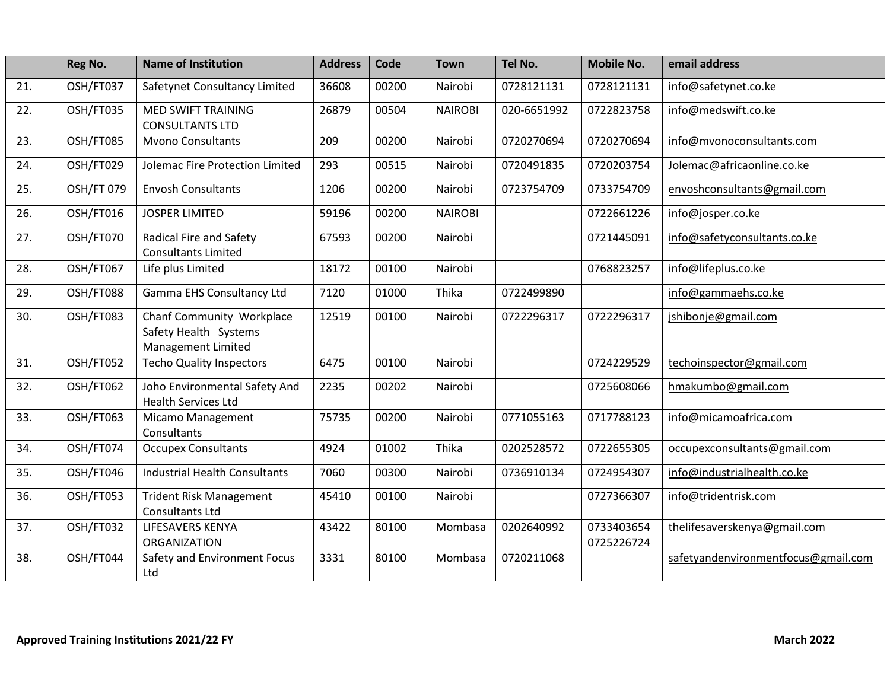|     | Reg No.    | <b>Name of Institution</b>                                               | <b>Address</b> | Code  | <b>Town</b>    | Tel No.     | <b>Mobile No.</b>        | email address                       |
|-----|------------|--------------------------------------------------------------------------|----------------|-------|----------------|-------------|--------------------------|-------------------------------------|
| 21. | OSH/FT037  | Safetynet Consultancy Limited                                            | 36608          | 00200 | Nairobi        | 0728121131  | 0728121131               | info@safetynet.co.ke                |
| 22. | OSH/FT035  | <b>MED SWIFT TRAINING</b><br><b>CONSULTANTS LTD</b>                      | 26879          | 00504 | <b>NAIROBI</b> | 020-6651992 | 0722823758               | info@medswift.co.ke                 |
| 23. | OSH/FT085  | <b>Mvono Consultants</b>                                                 | 209            | 00200 | Nairobi        | 0720270694  | 0720270694               | info@mvonoconsultants.com           |
| 24. | OSH/FT029  | Jolemac Fire Protection Limited                                          | 293            | 00515 | Nairobi        | 0720491835  | 0720203754               | Jolemac@africaonline.co.ke          |
| 25. | OSH/FT 079 | <b>Envosh Consultants</b>                                                | 1206           | 00200 | Nairobi        | 0723754709  | 0733754709               | envoshconsultants@gmail.com         |
| 26. | OSH/FT016  | <b>JOSPER LIMITED</b>                                                    | 59196          | 00200 | <b>NAIROBI</b> |             | 0722661226               | info@josper.co.ke                   |
| 27. | OSH/FT070  | Radical Fire and Safety<br><b>Consultants Limited</b>                    | 67593          | 00200 | Nairobi        |             | 0721445091               | info@safetyconsultants.co.ke        |
| 28. | OSH/FT067  | Life plus Limited                                                        | 18172          | 00100 | Nairobi        |             | 0768823257               | info@lifeplus.co.ke                 |
| 29. | OSH/FT088  | Gamma EHS Consultancy Ltd                                                | 7120           | 01000 | Thika          | 0722499890  |                          | info@gammaehs.co.ke                 |
| 30. | OSH/FT083  | Chanf Community Workplace<br>Safety Health Systems<br>Management Limited | 12519          | 00100 | Nairobi        | 0722296317  | 0722296317               | jshibonje@gmail.com                 |
| 31. | OSH/FT052  | <b>Techo Quality Inspectors</b>                                          | 6475           | 00100 | Nairobi        |             | 0724229529               | techoinspector@gmail.com            |
| 32. | OSH/FT062  | Joho Environmental Safety And<br><b>Health Services Ltd</b>              | 2235           | 00202 | Nairobi        |             | 0725608066               | hmakumbo@gmail.com                  |
| 33. | OSH/FT063  | Micamo Management<br>Consultants                                         | 75735          | 00200 | Nairobi        | 0771055163  | 0717788123               | info@micamoafrica.com               |
| 34. | OSH/FT074  | <b>Occupex Consultants</b>                                               | 4924           | 01002 | Thika          | 0202528572  | 0722655305               | occupexconsultants@gmail.com        |
| 35. | OSH/FT046  | <b>Industrial Health Consultants</b>                                     | 7060           | 00300 | Nairobi        | 0736910134  | 0724954307               | info@industrialhealth.co.ke         |
| 36. | OSH/FT053  | <b>Trident Risk Management</b><br>Consultants Ltd                        | 45410          | 00100 | Nairobi        |             | 0727366307               | info@tridentrisk.com                |
| 37. | OSH/FT032  | LIFESAVERS KENYA<br><b>ORGANIZATION</b>                                  | 43422          | 80100 | Mombasa        | 0202640992  | 0733403654<br>0725226724 | thelifesaverskenya@gmail.com        |
| 38. | OSH/FT044  | Safety and Environment Focus<br>Ltd                                      | 3331           | 80100 | Mombasa        | 0720211068  |                          | safetyandenvironmentfocus@gmail.com |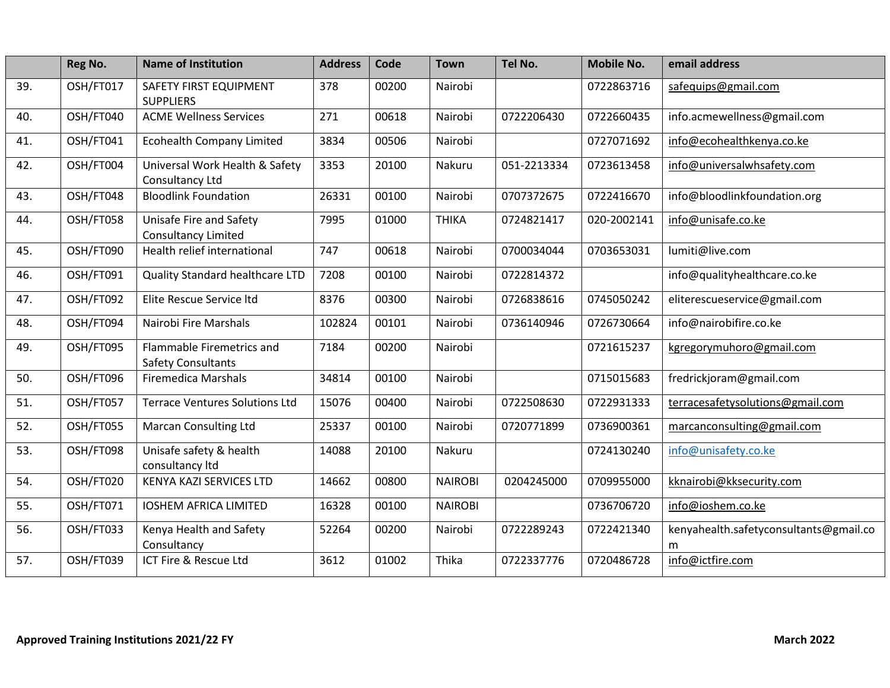|     | Reg No.   | <b>Name of Institution</b>                             | <b>Address</b> | Code  | <b>Town</b>    | Tel No.     | <b>Mobile No.</b> | email address                               |
|-----|-----------|--------------------------------------------------------|----------------|-------|----------------|-------------|-------------------|---------------------------------------------|
| 39. | OSH/FT017 | SAFETY FIRST EQUIPMENT<br><b>SUPPLIERS</b>             | 378            | 00200 | Nairobi        |             | 0722863716        | safequips@gmail.com                         |
| 40. | OSH/FT040 | <b>ACME Wellness Services</b>                          | 271            | 00618 | Nairobi        | 0722206430  | 0722660435        | info.acmewellness@gmail.com                 |
| 41. | OSH/FT041 | <b>Ecohealth Company Limited</b>                       | 3834           | 00506 | Nairobi        |             | 0727071692        | info@ecohealthkenya.co.ke                   |
| 42. | OSH/FT004 | Universal Work Health & Safety<br>Consultancy Ltd      | 3353           | 20100 | Nakuru         | 051-2213334 | 0723613458        | info@universalwhsafety.com                  |
| 43. | OSH/FT048 | <b>Bloodlink Foundation</b>                            | 26331          | 00100 | Nairobi        | 0707372675  | 0722416670        | info@bloodlinkfoundation.org                |
| 44. | OSH/FT058 | Unisafe Fire and Safety<br><b>Consultancy Limited</b>  | 7995           | 01000 | <b>THIKA</b>   | 0724821417  | 020-2002141       | info@unisafe.co.ke                          |
| 45. | OSH/FT090 | Health relief international                            | 747            | 00618 | Nairobi        | 0700034044  | 0703653031        | lumiti@live.com                             |
| 46. | OSH/FT091 | Quality Standard healthcare LTD                        | 7208           | 00100 | Nairobi        | 0722814372  |                   | info@qualityhealthcare.co.ke                |
| 47. | OSH/FT092 | Elite Rescue Service Itd                               | 8376           | 00300 | Nairobi        | 0726838616  | 0745050242        | eliterescueservice@gmail.com                |
| 48. | OSH/FT094 | Nairobi Fire Marshals                                  | 102824         | 00101 | Nairobi        | 0736140946  | 0726730664        | info@nairobifire.co.ke                      |
| 49. | OSH/FT095 | Flammable Firemetrics and<br><b>Safety Consultants</b> | 7184           | 00200 | Nairobi        |             | 0721615237        | kgregorymuhoro@gmail.com                    |
| 50. | OSH/FT096 | <b>Firemedica Marshals</b>                             | 34814          | 00100 | Nairobi        |             | 0715015683        | fredrickjoram@gmail.com                     |
| 51. | OSH/FT057 | <b>Terrace Ventures Solutions Ltd</b>                  | 15076          | 00400 | Nairobi        | 0722508630  | 0722931333        | terracesafetysolutions@gmail.com            |
| 52. | OSH/FT055 | <b>Marcan Consulting Ltd</b>                           | 25337          | 00100 | Nairobi        | 0720771899  | 0736900361        | marcanconsulting@gmail.com                  |
| 53. | OSH/FT098 | Unisafe safety & health<br>consultancy ltd             | 14088          | 20100 | Nakuru         |             | 0724130240        | info@unisafety.co.ke                        |
| 54. | OSH/FT020 | KENYA KAZI SERVICES LTD                                | 14662          | 00800 | <b>NAIROBI</b> | 0204245000  | 0709955000        | kknairobi@kksecurity.com                    |
| 55. | OSH/FT071 | <b>IOSHEM AFRICA LIMITED</b>                           | 16328          | 00100 | <b>NAIROBI</b> |             | 0736706720        | info@ioshem.co.ke                           |
| 56. | OSH/FT033 | Kenya Health and Safety<br>Consultancy                 | 52264          | 00200 | Nairobi        | 0722289243  | 0722421340        | kenyahealth.safetyconsultants@gmail.co<br>m |
| 57. | OSH/FT039 | ICT Fire & Rescue Ltd                                  | 3612           | 01002 | Thika          | 0722337776  | 0720486728        | info@ictfire.com                            |